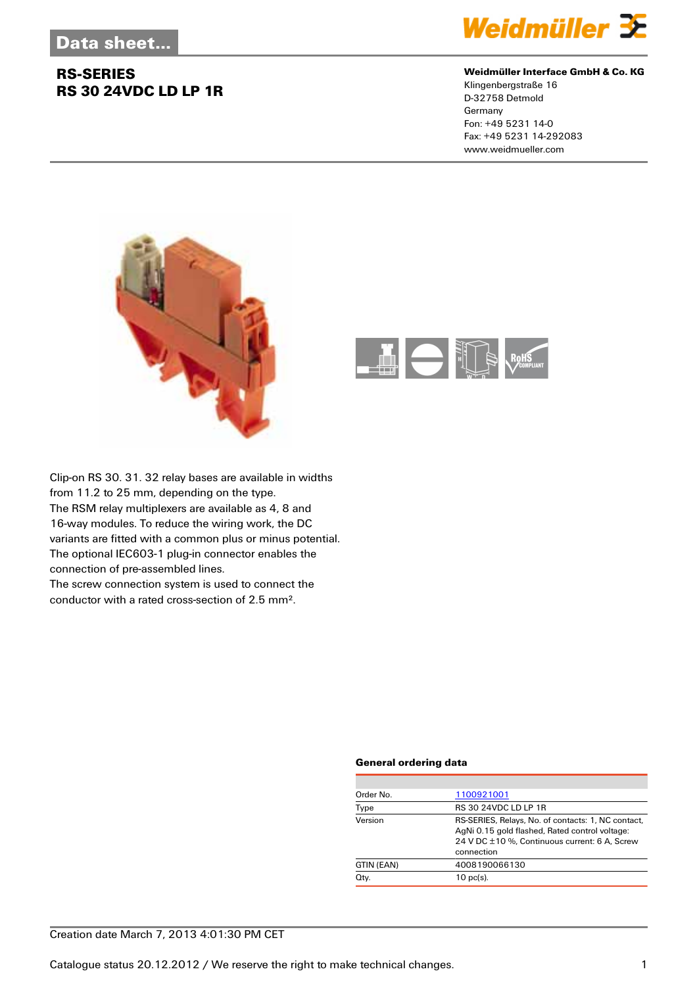### **RS-SERIES RS 30 24VDC LD LP 1R**



### **Weidmüller Interface GmbH & Co. KG**

Klingenbergstraße 16 D-32758 Detmold Germany Fon: +49 5231 14-0 Fax: +49 5231 14-292083 www.weidmueller.com





Clip-on RS 30. 31. 32 relay bases are available in widths from 11.2 to 25 mm, depending on the type. The RSM relay multiplexers are available as 4, 8 and 16-way modules. To reduce the wiring work, the DC variants are fitted with a common plus or minus potential. The optional IEC603-1 plug-in connector enables the connection of pre-assembled lines.

The screw connection system is used to connect the conductor with a rated cross-section of 2.5 mm².

### **General ordering data**

| Order No.  | 1100921001                                                                                                                                                          |  |
|------------|---------------------------------------------------------------------------------------------------------------------------------------------------------------------|--|
| Type       | RS 30 24VDC LD LP 1R                                                                                                                                                |  |
| Version    | RS-SERIES, Relays, No. of contacts: 1, NC contact,<br>AgNi 0.15 gold flashed, Rated control voltage:<br>24 V DC ±10 %, Continuous current: 6 A, Screw<br>connection |  |
| GTIN (EAN) | 4008190066130                                                                                                                                                       |  |
| Qty.       | $10$ pc(s).                                                                                                                                                         |  |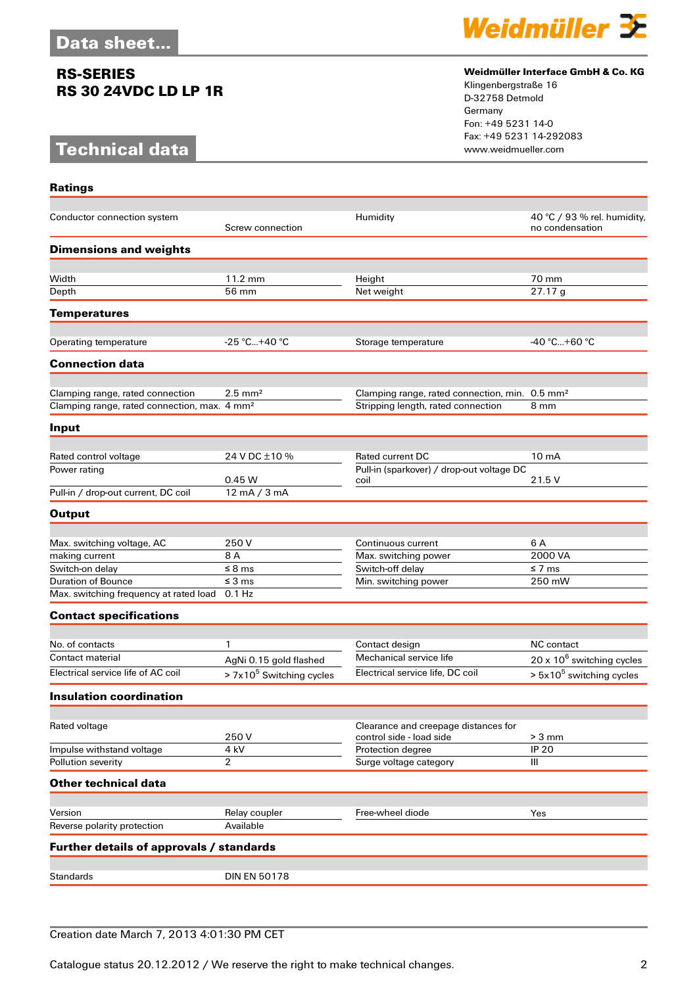### **RS-SERIES RS 30 24VDC LD LP 1R**

## **Technical data**

**Ratings**



### **Weidmüller Interface GmbH & Co. KG**

Klingenbergstraße 16 D-32758 Detmold Germany Fon: +49 5231 14-0 Fax: +49 5231 14-292083

| Conductor connection system                              | Screw connection               | Humidity                                                         | 40 °C / 93 % rel. humidity,<br>no condensation |
|----------------------------------------------------------|--------------------------------|------------------------------------------------------------------|------------------------------------------------|
| <b>Dimensions and weights</b>                            |                                |                                                                  |                                                |
|                                                          |                                |                                                                  |                                                |
| Width                                                    | 11.2 mm                        | Height                                                           | 70 mm                                          |
| Depth                                                    | 56 mm                          | Net weight                                                       | 27.17g                                         |
| <b>Temperatures</b>                                      |                                |                                                                  |                                                |
|                                                          |                                |                                                                  |                                                |
| <b>Operating temperature</b>                             | $-25 °C+40 °C$                 | Storage temperature                                              | $-40 °C+60 °C$                                 |
| <b>Connection data</b>                                   |                                |                                                                  |                                                |
| Clamping range, rated connection                         | $2.5$ mm <sup>2</sup>          | Clamping range, rated connection, min. 0.5 mm <sup>2</sup>       |                                                |
| Clamping range, rated connection, max. 4 mm <sup>2</sup> |                                | Stripping length, rated connection                               | 8 mm                                           |
|                                                          |                                |                                                                  |                                                |
| Input                                                    |                                |                                                                  |                                                |
| Rated control voltage                                    | 24 V DC ±10 %                  | <b>Rated current DC</b>                                          | 10 <sub>m</sub> A                              |
| Power rating                                             |                                | Pull-in (sparkover) / drop-out voltage DC                        |                                                |
|                                                          | 0.45 W                         | coil                                                             | 21.5 V                                         |
| Pull-in / drop-out current, DC coil                      | $12 \text{ mA} / 3 \text{ mA}$ |                                                                  |                                                |
| <b>Output</b>                                            |                                |                                                                  |                                                |
|                                                          |                                |                                                                  |                                                |
| Max. switching voltage, AC                               | 250 V                          | Continuous current                                               | 6 A                                            |
| making current                                           | 8 A                            | Max. switching power                                             | 2000 VA                                        |
| Switch-on delay                                          | $\leq$ 8 ms                    | Switch-off delay                                                 | ≤ 7 ms                                         |
| Duration of Bounce                                       | $\leq$ 3 ms                    | Min. switching power                                             | 250 mW                                         |
| Max. switching frequency at rated load                   | $0.1$ Hz                       |                                                                  |                                                |
| <b>Contact specifications</b>                            |                                |                                                                  |                                                |
|                                                          |                                |                                                                  |                                                |
| No. of contacts                                          | 1                              | Contact design                                                   | <b>NC</b> contact                              |
| Contact material                                         | AgNi 0.15 gold flashed         | Mechanical service life                                          | $20 \times 10^6$ switching cycles              |
| Electrical service life of AC coil                       | $> 7x105$ Switching cycles     | Electrical service life, DC coil                                 | $> 5x10^5$ switching cycles                    |
| <b>Insulation coordination</b>                           |                                |                                                                  |                                                |
|                                                          |                                |                                                                  |                                                |
| Rated voltage                                            | 250V                           | Clearance and creepage distances for<br>control side - load side | $> 3$ mm                                       |
| Impulse withstand voltage                                | 4 kV                           | Protection degree                                                | <b>IP 20</b>                                   |
| Pollution severity                                       | $\overline{2}$                 | Surge voltage category                                           | Ш                                              |
|                                                          |                                |                                                                  |                                                |
| <b>Other technical data</b>                              |                                |                                                                  |                                                |
| Version                                                  | Relay coupler                  | Free-wheel diode                                                 | Yes                                            |
| Reverse polarity protection                              | Available                      |                                                                  |                                                |
| Further details of approvals / standards                 |                                |                                                                  |                                                |
|                                                          |                                |                                                                  |                                                |
| Standards                                                | <b>DIN EN 50178</b>            |                                                                  |                                                |
|                                                          |                                |                                                                  |                                                |